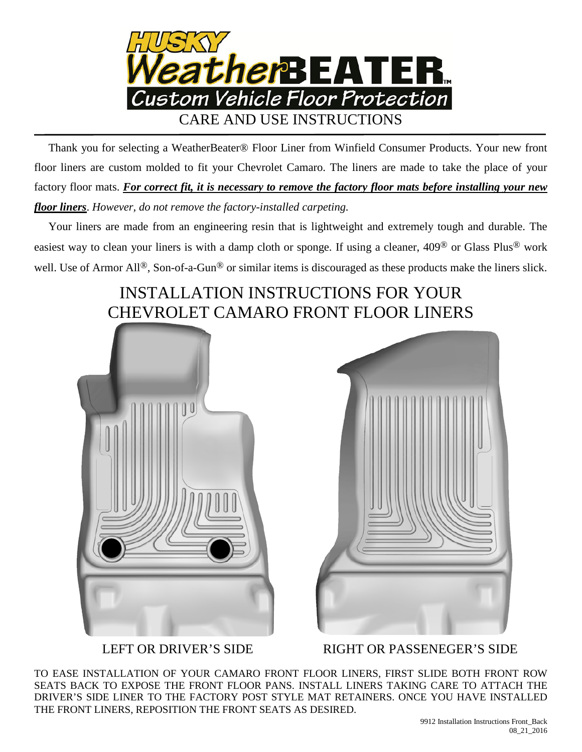

 Thank you for selecting a WeatherBeater® Floor Liner from Winfield Consumer Products. Your new front floor liners are custom molded to fit your Chevrolet Camaro. The liners are made to take the place of your factory floor mats. *For correct fit, it is necessary to remove the factory floor mats before installing your new floor liners*. *However, do not remove the factory-installed carpeting.*

 Your liners are made from an engineering resin that is lightweight and extremely tough and durable. The easiest way to clean your liners is with a damp cloth or sponge. If using a cleaner, 409® or Glass Plus® work well. Use of Armor All<sup>®</sup>, Son-of-a-Gun<sup>®</sup> or similar items is discouraged as these products make the liners slick.

## INSTALLATION INSTRUCTIONS FOR YOUR CHEVROLET CAMARO FRONT FLOOR LINERS



LEFT OR DRIVER'S SIDE RIGHT OR PASSENEGER'S SIDE

TO EASE INSTALLATION OF YOUR CAMARO FRONT FLOOR LINERS, FIRST SLIDE BOTH FRONT ROW SEATS BACK TO EXPOSE THE FRONT FLOOR PANS. INSTALL LINERS TAKING CARE TO ATTACH THE DRIVER'S SIDE LINER TO THE FACTORY POST STYLE MAT RETAINERS. ONCE YOU HAVE INSTALLED THE FRONT LINERS, REPOSITION THE FRONT SEATS AS DESIRED.